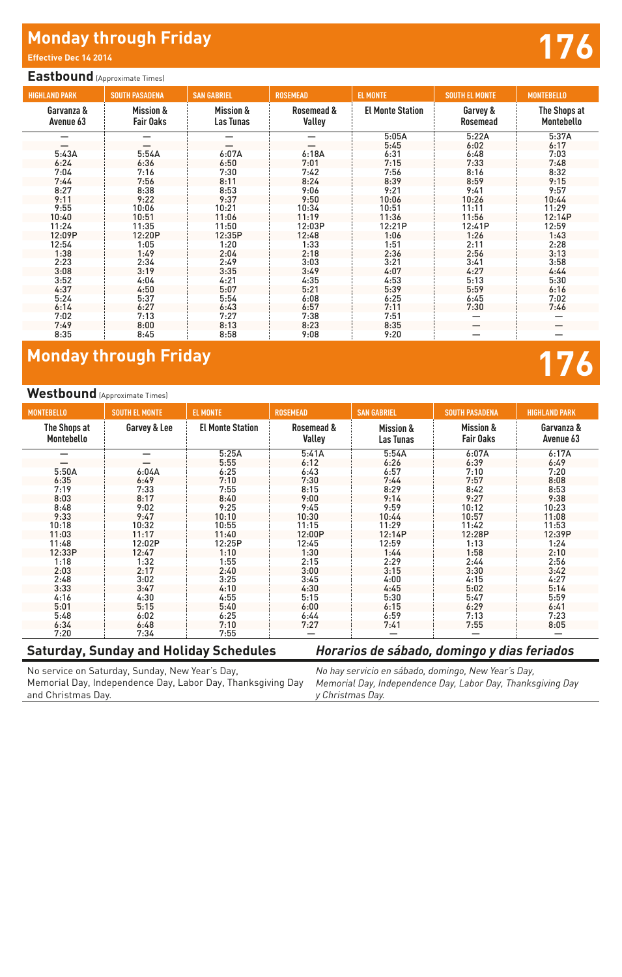# **Monday through Friday And All and All and All and All and All and All and All and All and All and All and All and A<br>Effective Dec 14 2014**

#### **Eastbound** (Approximate Times)

| <b>HIGHLAND PARK</b>    | <b>SOUTH PASADENA</b>                    | <b>SAN GABRIEL</b>                | <b>ROSEMEAD</b>      | <b>EL MONTE</b>         | <b>SOUTH EL MONTE</b> | <b>MONTEBELLO</b>          |  |  |
|-------------------------|------------------------------------------|-----------------------------------|----------------------|-------------------------|-----------------------|----------------------------|--|--|
| Garvanza &<br>Avenue 63 | <b>Mission &amp;</b><br><b>Fair Oaks</b> | <b>Mission &amp;</b><br>Las Tunas | Rosemead &<br>Valley | <b>El Monte Station</b> | Garvey &<br>Rosemead  | The Shops at<br>Montebello |  |  |
|                         |                                          |                                   |                      | 5:05A                   | 5:22A                 | 5:37A                      |  |  |
|                         |                                          |                                   |                      | 5:45                    | 6:02                  | 6:17                       |  |  |
| 5:43A                   | 5:54A                                    | 6:07A                             | 6:18A                | 6:31                    | 6:48                  | 7:03                       |  |  |
| 6:24                    | 6:36                                     | 6:50                              | 7:01                 | 7:15                    | 7:33                  | 7:48                       |  |  |
| 7:04                    | 7:16                                     | 7:30                              | 7:42                 | 7:56                    | 8:16                  | 8:32                       |  |  |
| 7:44                    | 7:56                                     | 8:11                              | 8:24                 | 8:39                    | 8:59                  | 9:15                       |  |  |
| 8:27                    | 8:38                                     | 8:53                              | 9:06                 | 9:21                    | 9:41                  | 9:57                       |  |  |
| 9:11                    | 9:22                                     | 9:37                              | 9:50                 | 10:06                   | 10:26                 | 10:44                      |  |  |
| 9:55                    | 10:06                                    | 10:21                             | 10:34                | 10:51                   | 11:11                 | 11:29                      |  |  |
| 10:40                   | 10:51                                    | 11:06                             | 11:19                | 11:36                   | 11:56                 | 12:14P                     |  |  |
| 11:24                   | 11:35                                    | 11:50                             | 12:03P               | 12:21P                  | 12:41P                | 12:59                      |  |  |
| 12:09P                  | 12:20P                                   | 12:35P                            | 12:48                | 1:06                    | 1:26                  | 1:43                       |  |  |
| 12:54                   | 1:05                                     | 1:20                              | 1:33                 | 1:51                    | 2:11                  | 2:28                       |  |  |
| 1:38                    | 1:49                                     | 2:04                              | 2:18                 | 2:36                    | 2:56                  | 3:13                       |  |  |
| 2:23                    | 2:34                                     | 2:49                              | 3:03                 | 3:21                    | 3:41                  | 3:58                       |  |  |
| 3:08                    | 3:19                                     | 3:35                              | 3:49                 | 4:07                    | 4:27                  | 4:44                       |  |  |
| 3:52                    | 4:04                                     | 4:21                              | 4:35                 | 4:53                    | 5:13                  | 5:30                       |  |  |
| 4:37                    | 4:50                                     | 5:07                              | 5:21                 | 5:39                    | 5:59                  | 6:16                       |  |  |
| 5:24                    | 5:37                                     | 5:54                              | 6:08                 | 6:25                    | 6:45                  | 7:02                       |  |  |
| 6:14                    | 6:27                                     | 6:43                              | 6:57                 | 7:11                    | 7:30                  | 7:46                       |  |  |
| 7:02                    | 7:13                                     | 7:27                              | 7:38                 | 7:51                    |                       |                            |  |  |
| 7:49                    | 8:00                                     | 8:13                              | 8:23                 | 8:35                    |                       |                            |  |  |
| 8:35                    | 8:45                                     | 8:58                              | 9:08                 | 9:20                    |                       |                            |  |  |

## **Monday through Friday 176**

#### **Westbound** (Approximate Times)

| <b>MONTEBELLO</b>          | <b>SOUTH EL MONTE</b> | <b>EL MONTE</b>         | <b>ROSEMEAD</b>      | <b>SAN GABRIEL</b>                       | <b>SOUTH PASADENA</b>                    | <b>HIGHLAND PARK</b>    |
|----------------------------|-----------------------|-------------------------|----------------------|------------------------------------------|------------------------------------------|-------------------------|
| The Shops at<br>Montebello | Garvey & Lee          | <b>El Monte Station</b> | Rosemead &<br>Valley | <b>Mission &amp;</b><br><b>Las Tunas</b> | <b>Mission &amp;</b><br><b>Fair Oaks</b> | Garvanza &<br>Avenue 63 |
|                            | -                     | 5:25A                   | 5:41A                | 5:54A                                    | 6:07A                                    | 6:17A                   |
|                            |                       | 5:55                    | 6:12                 | 6:26                                     | 6:39                                     | 6:49                    |
| 5:50A                      | 6:04A                 | 6:25                    | 6:43                 | 6:57                                     | 7:10                                     | 7:20                    |
| 6:35                       | 6:49                  | 7:10                    | 7:30                 | 7:44                                     | 7:57                                     | 8:08                    |
| 7:19                       | 7:33                  | 7:55                    | 8:15                 | 8:29                                     | 8:42                                     | 8:53                    |
| 8:03                       | 8:17                  | 8:40                    | 9:00                 | 9:14                                     | 9:27                                     | 9:38                    |
| 8:48                       | 9:02                  | 9:25                    | 9:45                 | 9:59                                     | 10:12                                    | 10:23                   |
| 9:33                       | 9:47                  | 10:10                   | 10:30                | 10:44                                    | 10:57                                    | 11:08                   |
| 10:18                      | 10:32                 | 10:55                   | 11:15                | 11:29                                    | 11:42                                    | 11:53                   |
| 11:03                      | 11:17                 | 11:40                   | 12:00P               | 12:14P                                   | 12:28P                                   | 12:39P                  |
| 11:48                      | 12:02P                | 12:25P                  | 12:45                | 12:59                                    | 1:13                                     | 1:24                    |
| 12:33P                     | 12:47                 | 1:10                    | 1:30                 | 1:44                                     | 1:58                                     | 2:10                    |
| 1:18                       | 1:32                  | 1:55                    | 2:15                 | 2:29                                     | 2:44                                     | 2:56                    |
| 2:03                       | 2:17                  | 2:40                    | 3:00                 | 3:15                                     | 3:30                                     | 3:42                    |
| 2:48                       | 3:02                  | 3:25                    | 3:45                 | 4:00                                     | 4:15                                     | 4:27                    |
| 3:33                       | 3:47                  | 4:10                    | 4:30                 | 4:45                                     | 5:02                                     | 5:14                    |
| 4:16                       | 4:30                  | 4:55                    | 5:15                 | 5:30                                     | 5:47                                     | 5:59                    |
| 5:01                       | 5:15                  | 5:40                    | 6:00                 | 6:15                                     | 6:29                                     | 6:41                    |
| 5:48                       | 6:02                  | 6:25                    | 6:44                 | 6:59                                     | 7:13                                     | 7:23                    |
| 6:34                       | 6:48                  | 7:10                    | 7:27                 | 7:41                                     | 7:55                                     | 8:05                    |
| 7:20                       | 7:34                  | 7:55                    |                      |                                          |                                          |                         |

#### **Saturday, Sunday and Holiday Schedules**

### *Horarios de sábado, domingo y dias feriados*

No service on Saturday, Sunday, New Year's Day, Memorial Day, Independence Day, Labor Day, Thanksgiving Day and Christmas Day.

*No hay servicio en sábado, domingo, New Year's Day, Memorial Day, Independence Day, Labor Day, Thanksgiving Day y Christmas Day.*